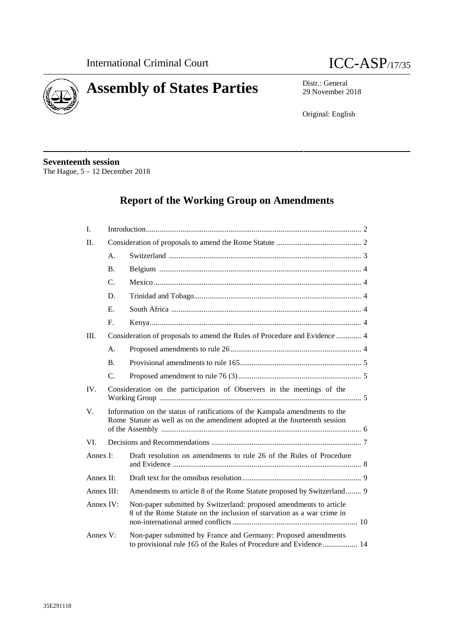



29 November 2018

Original: English

**Seventeenth session** The Hague, 5 – 12 December 2018

# **Report of the Working Group on Amendments**

| I.         |                                                                            |                                                                                                                                                           |  |
|------------|----------------------------------------------------------------------------|-----------------------------------------------------------------------------------------------------------------------------------------------------------|--|
| $\Pi$ .    |                                                                            |                                                                                                                                                           |  |
|            | A <sub>1</sub>                                                             |                                                                                                                                                           |  |
|            | <b>B.</b>                                                                  |                                                                                                                                                           |  |
|            | C.                                                                         |                                                                                                                                                           |  |
|            | D.                                                                         |                                                                                                                                                           |  |
|            | E.                                                                         |                                                                                                                                                           |  |
|            | F.                                                                         |                                                                                                                                                           |  |
| III.       | Consideration of proposals to amend the Rules of Procedure and Evidence  4 |                                                                                                                                                           |  |
|            | A <sub>1</sub>                                                             |                                                                                                                                                           |  |
|            | <b>B.</b>                                                                  |                                                                                                                                                           |  |
|            | $\mathcal{C}$                                                              |                                                                                                                                                           |  |
| IV.        |                                                                            | Consideration on the participation of Observers in the meetings of the                                                                                    |  |
| V.         |                                                                            | Information on the status of ratifications of the Kampala amendments to the<br>Rome Statute as well as on the amendment adopted at the fourteenth session |  |
| VI.        |                                                                            |                                                                                                                                                           |  |
| Annex I:   |                                                                            | Draft resolution on amendments to rule 26 of the Rules of Procedure                                                                                       |  |
| Annex II:  |                                                                            |                                                                                                                                                           |  |
| Annex III: |                                                                            | Amendments to article 8 of the Rome Statute proposed by Switzerland 9                                                                                     |  |
| Annex IV:  |                                                                            | Non-paper submitted by Switzerland: proposed amendments to article<br>8 of the Rome Statute on the inclusion of starvation as a war crime in              |  |
| Annex V:   |                                                                            | Non-paper submitted by France and Germany: Proposed amendments<br>to provisional rule 165 of the Rules of Procedure and Evidence 14                       |  |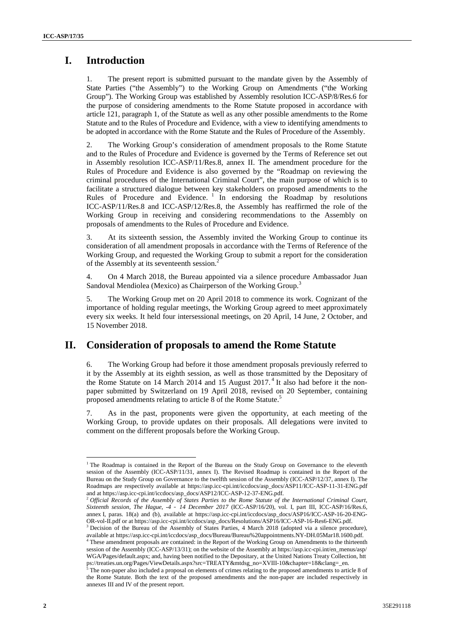# **I. Introduction**

1. The present report is submitted pursuant to the mandate given by the Assembly of State Parties ("the Assembly") to the Working Group on Amendments ("the Working Group"). The Working Group was established by Assembly resolution ICC-ASP/8/Res.6 for the purpose of considering amendments to the Rome Statute proposed in accordance with article 121, paragraph 1, of the Statute as well as any other possible amendments to the Rome Statute and to the Rules of Procedure and Evidence, with a view to identifying amendments to be adopted in accordance with the Rome Statute and the Rules of Procedure of the Assembly.

2. The Working Group's consideration of amendment proposals to the Rome Statute and to the Rules of Procedure and Evidence is governed by the Terms of Reference set out in Assembly resolution ICC-ASP/11/Res.8, annex II. The amendment procedure for the Rules of Procedure and Evidence is also governed by the "Roadmap on reviewing the criminal procedures of the International Criminal Court", the main purpose of which is to facilitate a structured dialogue between key stakeholders on proposed amendments to the Rules of Procedure and Evidence.<sup>1</sup> In endorsing the Roadmap by resolutions ICC-ASP/11/Res.8 and ICC-ASP/12/Res.8, the Assembly has reaffirmed the role of the Working Group in receiving and considering recommendations to the Assembly on proposals of amendments to the Rules of Procedure and Evidence.

3. At its sixteenth session, the Assembly invited the Working Group to continue its consideration of all amendment proposals in accordance with the Terms of Reference of the Working Group, and requested the Working Group to submit a report for the consideration of the Assembly at its seventeenth session.<sup>2</sup>

4. On 4 March 2018, the Bureau appointed via a silence procedure Ambassador Juan Sandoval Mendiolea (Mexico) as Chairperson of the Working Group.<sup>3</sup>

5. The Working Group met on 20 April 2018 to commence its work. Cognizant of the importance of holding regular meetings, the Working Group agreed to meet approximately every six weeks. It held four intersessional meetings, on 20 April, 14 June, 2 October, and 15 November 2018.

## **II. Consideration of proposals to amend the Rome Statute**

6. The Working Group had before it those amendment proposals previously referred to it by the Assembly at its eighth session, as well as those transmitted by the Depositary of the Rome Statute on 14 March 2014 and 15 August 2017.<sup>4</sup> It also had before it the nonpaper submitted by Switzerland on 19 April 2018, revised on 20 September, containing proposed amendments relating to article 8 of the Rome Statute.<sup>5</sup>

7. As in the past, proponents were given the opportunity, at each meeting of the Working Group, to provide updates on their proposals. All delegations were invited to comment on the different proposals before the Working Group.

<sup>&</sup>lt;sup>1</sup> The Roadmap is contained in the Report of the Bureau on the Study Group on Governance to the eleventh session of the Assembly (ICC-ASP/11/31, annex I). The Revised Roadmap is contained in the Report of the Bureau on the Study Group on Governance to the twelfth session of the Assembly (ICC-ASP/12/37, annex I). The Roadmaps are respectively available at https://asp.icc-cpi.int/iccdocs/asp\_docs/ASP11/ICC-ASP-11-31-ENG.pdf and at https://asp.icc-cpi.int/iccdocs/asp\_docs/ASP12/ICC-ASP-12-37-ENG.pdf. <sup>2</sup> *Official Records of the Assembly of States Parties to the Rome Statute of the International Criminal Court,*

*Sixteenth session, The Hague, -4 – 14 December 2017* (ICC-ASP/16/20), vol. I, part III, ICC-ASP/16/Res.6, annex I, paras. 18(a) and (b), available at https://asp.icc-cpi.int/iccdocs/asp\_docs/ASP16/ICC-ASP-16-20-ENG- OR-vol-II.pdf or at https://asp.icc-cpi.int/iccdocs/asp\_docs/Resolutions/ASP16/ICC-ASP-16-Res6-ENG.pdf.

<sup>&</sup>lt;sup>3</sup> Decision of the Bureau of the Assembly of States Parties, 4 March 2018 (adopted via a silence procedure), available at https://asp.icc-cpi.int/iccdocs/asp\_docs/Bureau/Bureau%20appointments.NY-DH.05Mar18.1600.pdf. <sup>4</sup> These amendment proposals are contained: in the Report of the Working Group on Amendments to the thirteenth

session of the Assembly (ICC-ASP/13/31); on the website of the Assembly at https://asp.icc-cpi.int/en\_menus/asp/ WGA/Pages/default.aspx; and, having been notified to the Depositary, at the United Nations Treaty Collection, htt ps://treaties.un.org/Pages/ViewDetails.aspx?src=TREATY&mtdsg\_no=XVIII-10&chapter=18&clang=\_en.

 $5$  The non-paper also included a proposal on elements of crimes relating to the proposed amendments to article 8 of the Rome Statute. Both the text of the proposed amendments and the non-paper are included respectively in annexes III and IV of the present report.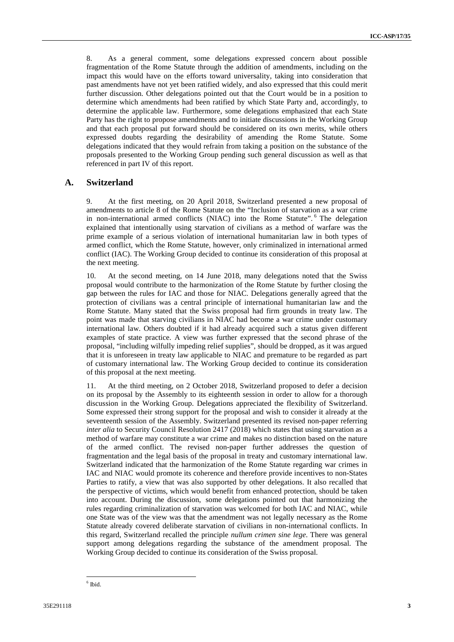8. As a general comment, some delegations expressed concern about possible fragmentation of the Rome Statute through the addition of amendments, including on the impact this would have on the efforts toward universality, taking into consideration that past amendments have not yet been ratified widely, and also expressed that this could merit further discussion. Other delegations pointed out that the Court would be in a position to determine which amendments had been ratified by which State Party and, accordingly, to determine the applicable law. Furthermore, some delegations emphasized that each State Party has the right to propose amendments and to initiate discussions in the Working Group and that each proposal put forward should be considered on its own merits, while others expressed doubts regarding the desirability of amending the Rome Statute. Some delegations indicated that they would refrain from taking a position on the substance of the proposals presented to the Working Group pending such general discussion as well as that referenced in part IV of this report.

### **A. Switzerland**

9. At the first meeting, on 20 April 2018, Switzerland presented a new proposal of amendments to article 8 of the Rome Statute on the "Inclusion of starvation as a war crime in non-international armed conflicts (NIAC) into the Rome Statute".<sup>6</sup> The delegation explained that intentionally using starvation of civilians as a method of warfare was the prime example of a serious violation of international humanitarian law in both types of armed conflict, which the Rome Statute, however, only criminalized in international armed conflict (IAC). The Working Group decided to continue its consideration of this proposal at the next meeting.

10. At the second meeting, on 14 June 2018, many delegations noted that the Swiss proposal would contribute to the harmonization of the Rome Statute by further closing the gap between the rules for IAC and those for NIAC. Delegations generally agreed that the protection of civilians was a central principle of international humanitarian law and the Rome Statute. Many stated that the Swiss proposal had firm grounds in treaty law. The point was made that starving civilians in NIAC had become a war crime under customary international law. Others doubted if it had already acquired such a status given different examples of state practice. A view was further expressed that the second phrase of the proposal, "including wilfully impeding relief supplies", should be dropped, as it was argued that it is unforeseen in treaty law applicable to NIAC and premature to be regarded as part of customary international law. The Working Group decided to continue its consideration of this proposal at the next meeting.

11. At the third meeting, on 2 October 2018, Switzerland proposed to defer a decision on its proposal by the Assembly to its eighteenth session in order to allow for a thorough discussion in the Working Group. Delegations appreciated the flexibility of Switzerland. Some expressed their strong support for the proposal and wish to consider it already at the seventeenth session of the Assembly. Switzerland presented its revised non-paper referring *inter alia* to Security Council Resolution 2417 (2018) which states that using starvation as a method of warfare may constitute a war crime and makes no distinction based on the nature of the armed conflict. The revised non-paper further addresses the question of fragmentation and the legal basis of the proposal in treaty and customary international law. Switzerland indicated that the harmonization of the Rome Statute regarding war crimes in IAC and NIAC would promote its coherence and therefore provide incentives to non-States Parties to ratify, a view that was also supported by other delegations. It also recalled that the perspective of victims, which would benefit from enhanced protection, should be taken into account. During the discussion, some delegations pointed out that harmonizing the rules regarding criminalization of starvation was welcomed for both IAC and NIAC, while one State was of the view was that the amendment was not legally necessary as the Rome Statute already covered deliberate starvation of civilians in non-international conflicts. In this regard, Switzerland recalled the principle *nullum crimen sine lege*. There was general support among delegations regarding the substance of the amendment proposal. The Working Group decided to continue its consideration of the Swiss proposal.

<sup>6</sup> Ibid.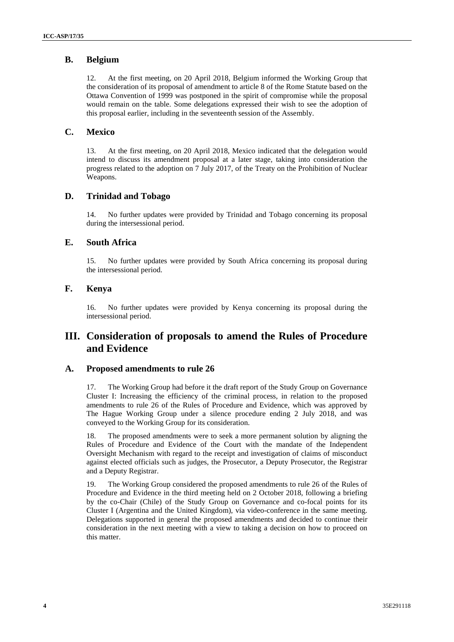## **B. Belgium**

12. At the first meeting, on 20 April 2018, Belgium informed the Working Group that the consideration of its proposal of amendment to article 8 of the Rome Statute based on the Ottawa Convention of 1999 was postponed in the spirit of compromise while the proposal would remain on the table. Some delegations expressed their wish to see the adoption of this proposal earlier, including in the seventeenth session of the Assembly.

## **C. Mexico**

13. At the first meeting, on 20 April 2018, Mexico indicated that the delegation would intend to discuss its amendment proposal at a later stage, taking into consideration the progress related to the adoption on 7 July 2017, of the Treaty on the Prohibition of Nuclear Weapons.

## **D. Trinidad and Tobago**

14. No further updates were provided by Trinidad and Tobago concerning its proposal during the intersessional period.

## **E. South Africa**

15. No further updates were provided by South Africa concerning its proposal during the intersessional period.

## **F. Kenya**

16. No further updates were provided by Kenya concerning its proposal during the intersessional period.

## **III. Consideration of proposals to amend the Rules of Procedure and Evidence**

## **A. Proposed amendments to rule 26**

17. The Working Group had before it the draft report of the Study Group on Governance Cluster I: Increasing the efficiency of the criminal process, in relation to the proposed amendments to rule 26 of the Rules of Procedure and Evidence, which was approved by The Hague Working Group under a silence procedure ending 2 July 2018, and was conveyed to the Working Group for its consideration.

18. The proposed amendments were to seek a more permanent solution by aligning the Rules of Procedure and Evidence of the Court with the mandate of the Independent Oversight Mechanism with regard to the receipt and investigation of claims of misconduct against elected officials such as judges, the Prosecutor, a Deputy Prosecutor, the Registrar and a Deputy Registrar.

19. The Working Group considered the proposed amendments to rule 26 of the Rules of Procedure and Evidence in the third meeting held on 2 October 2018, following a briefing by the co-Chair (Chile) of the Study Group on Governance and co-focal points for its Cluster I (Argentina and the United Kingdom), via video-conference in the same meeting. Delegations supported in general the proposed amendments and decided to continue their consideration in the next meeting with a view to taking a decision on how to proceed on this matter.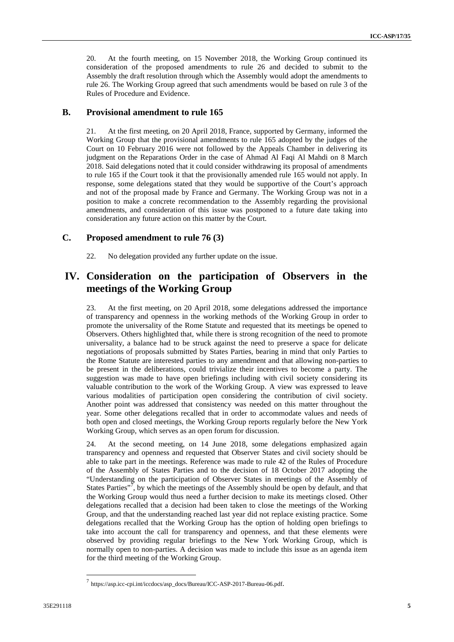20. At the fourth meeting, on 15 November 2018, the Working Group continued its consideration of the proposed amendments to rule 26 and decided to submit to the Assembly the draft resolution through which the Assembly would adopt the amendments to rule 26. The Working Group agreed that such amendments would be based on rule 3 of the Rules of Procedure and Evidence.

### **B. Provisional amendment to rule 165**

21. At the first meeting, on 20 April 2018, France, supported by Germany, informed the Working Group that the provisional amendments to rule 165 adopted by the judges of the Court on 10 February 2016 were not followed by the Appeals Chamber in delivering its judgment on the Reparations Order in the case of Ahmad Al Faqi Al Mahdi on 8 March 2018. Said delegations noted that it could consider withdrawing its proposal of amendments to rule 165 if the Court took it that the provisionally amended rule 165 would not apply. In response, some delegations stated that they would be supportive of the Court's approach and not of the proposal made by France and Germany. The Working Group was not in a position to make a concrete recommendation to the Assembly regarding the provisional amendments, and consideration of this issue was postponed to a future date taking into consideration any future action on this matter by the Court.

### **C. Proposed amendment to rule 76 (3)**

22. No delegation provided any further update on the issue.

## **IV. Consideration on the participation of Observers in the meetings of the Working Group**

23. At the first meeting, on 20 April 2018, some delegations addressed the importance of transparency and openness in the working methods of the Working Group in order to promote the universality of the Rome Statute and requested that its meetings be opened to Observers. Others highlighted that, while there is strong recognition of the need to promote universality, a balance had to be struck against the need to preserve a space for delicate negotiations of proposals submitted by States Parties, bearing in mind that only Parties to the Rome Statute are interested parties to any amendment and that allowing non-parties to be present in the deliberations, could trivialize their incentives to become a party. The suggestion was made to have open briefings including with civil society considering its valuable contribution to the work of the Working Group. A view was expressed to leave various modalities of participation open considering the contribution of civil society. Another point was addressed that consistency was needed on this matter throughout the year. Some other delegations recalled that in order to accommodate values and needs of both open and closed meetings, the Working Group reports regularly before the New York Working Group, which serves as an open forum for discussion.

24. At the second meeting, on 14 June 2018, some delegations emphasized again transparency and openness and requested that Observer States and civil society should be able to take part in the meetings. Reference was made to rule 42 of the Rules of Procedure of the Assembly of States Parties and to the decision of 18 October 2017 adopting the "Understanding on the participation of Observer States in meetings of the Assembly of States Parties"<sup>7</sup>, by which the meetings of the Assembly should be open by default, and that the Working Group would thus need a further decision to make its meetings closed. Other delegations recalled that a decision had been taken to close the meetings of the Working Group, and that the understanding reached last year did not replace existing practice. Some delegations recalled that the Working Group has the option of holding open briefings to take into account the call for transparency and openness, and that these elements were observed by providing regular briefings to the New York Working Group, which is normally open to non-parties. A decision was made to include this issue as an agenda item for the third meeting of the Working Group.

<sup>7</sup> https://asp.icc-cpi.int/iccdocs/asp\_docs/Bureau/ICC-ASP-2017-Bureau-06.pdf.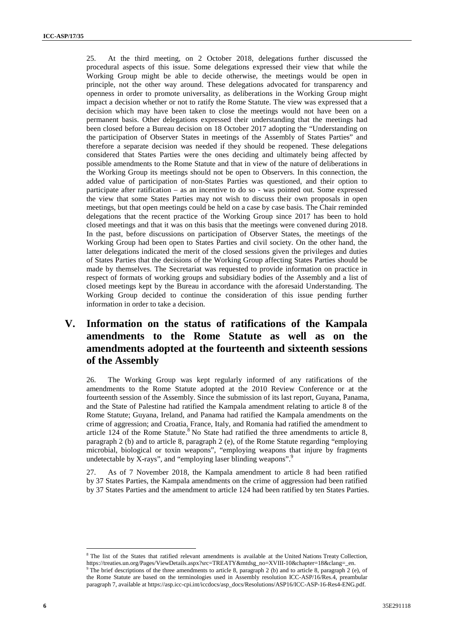25. At the third meeting, on 2 October 2018, delegations further discussed the procedural aspects of this issue. Some delegations expressed their view that while the Working Group might be able to decide otherwise, the meetings would be open in principle, not the other way around. These delegations advocated for transparency and openness in order to promote universality, as deliberations in the Working Group might impact a decision whether or not to ratify the Rome Statute. The view was expressed that a decision which may have been taken to close the meetings would not have been on a permanent basis. Other delegations expressed their understanding that the meetings had been closed before a Bureau decision on 18 October 2017 adopting the "Understanding on the participation of Observer States in meetings of the Assembly of States Parties" and therefore a separate decision was needed if they should be reopened. These delegations considered that States Parties were the ones deciding and ultimately being affected by possible amendments to the Rome Statute and that in view of the nature of deliberations in the Working Group its meetings should not be open to Observers. In this connection, the added value of participation of non-States Parties was questioned, and their option to participate after ratification – as an incentive to do so - was pointed out. Some expressed the view that some States Parties may not wish to discuss their own proposals in open meetings, but that open meetings could be held on a case by case basis. The Chair reminded delegations that the recent practice of the Working Group since 2017 has been to hold closed meetings and that it was on this basis that the meetings were convened during 2018. In the past, before discussions on participation of Observer States, the meetings of the Working Group had been open to States Parties and civil society. On the other hand, the latter delegations indicated the merit of the closed sessions given the privileges and duties of States Parties that the decisions of the Working Group affecting States Parties should be made by themselves. The Secretariat was requested to provide information on practice in respect of formats of working groups and subsidiary bodies of the Assembly and a list of closed meetings kept by the Bureau in accordance with the aforesaid Understanding. The Working Group decided to continue the consideration of this issue pending further information in order to take a decision.

# **V. Information on the status of ratifications of the Kampala amendments to the Rome Statute as well as on the amendments adopted at the fourteenth and sixteenth sessions of the Assembly**

26. The Working Group was kept regularly informed of any ratifications of the amendments to the Rome Statute adopted at the 2010 Review Conference or at the fourteenth session of the Assembly. Since the submission of its last report, Guyana, Panama, and the State of Palestine had ratified the Kampala amendment relating to article 8 of the Rome Statute; Guyana, Ireland, and Panama had ratified the Kampala amendments on the crime of aggression; and Croatia, France, Italy, and Romania had ratified the amendment to article 124 of the Rome Statute. $8$  No State had ratified the three amendments to article 8, paragraph 2 (b) and to article 8, paragraph 2 (e), of the Rome Statute regarding "employing microbial, biological or toxin weapons", "employing weapons that injure by fragments undetectable by X-rays", and "employing laser blinding weapons".<sup>9</sup>

27. As of 7 November 2018, the Kampala amendment to article 8 had been ratified by 37 States Parties, the Kampala amendments on the crime of aggression had been ratified by 37 States Parties and the amendment to article 124 had been ratified by ten States Parties.

<sup>8</sup> The list of the States that ratified relevant amendments is available at the United Nations Treaty Collection, https://treaties.un.org/Pages/ViewDetails.aspx?src=TREATY&mtdsg\_no=XVIII-10&chapter=18&clang=\_en. <sup>9</sup> The brief descriptions of the three amendments to article 8, paragraph 2 (b) and to article 8, paragraph 2 (e), of

the Rome Statute are based on the terminologies used in Assembly resolution ICC-ASP/16/Res.4, preambular paragraph 7, available at https://asp.icc-cpi.int/iccdocs/asp\_docs/Resolutions/ASP16/ICC-ASP-16-Res4-ENG.pdf.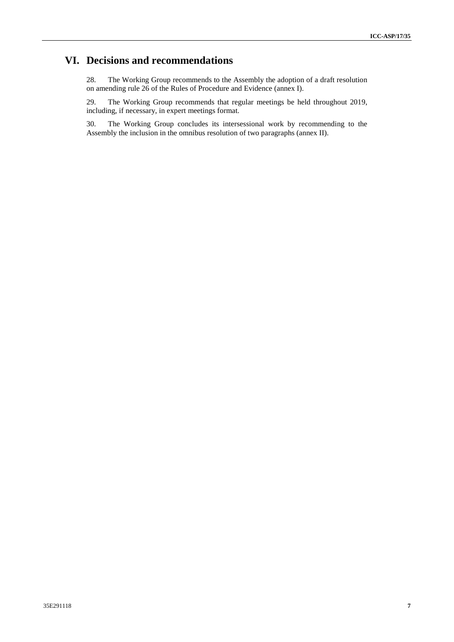# **VI. Decisions and recommendations**

28. The Working Group recommends to the Assembly the adoption of a draft resolution on amending rule 26 of the Rules of Procedure and Evidence (annex I).

29. The Working Group recommends that regular meetings be held throughout 2019, including, if necessary, in expert meetings format.

30. The Working Group concludes its intersessional work by recommending to the Assembly the inclusion in the omnibus resolution of two paragraphs (annex II).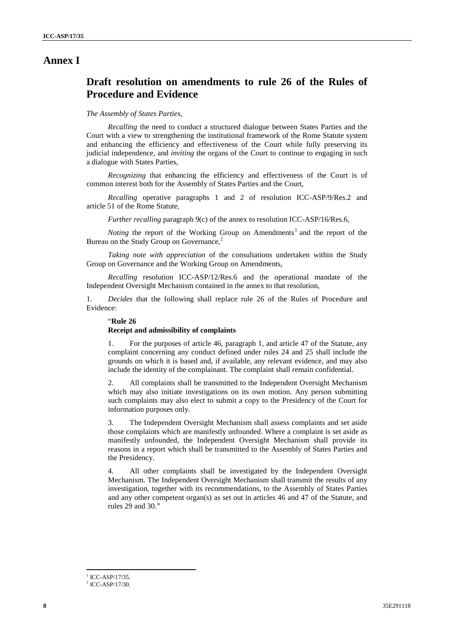## **Annex I**

## **Draft resolution on amendments to rule 26 of the Rules of Procedure and Evidence**

### *The Assembly of States Parties,*

*Recalling* the need to conduct a structured dialogue between States Parties and the Court with a view to strengthening the institutional framework of the Rome Statute system and enhancing the efficiency and effectiveness of the Court while fully preserving its judicial independence, and *inviting* the organs of the Court to continue to engaging in such a dialogue with States Parties,

*Recognizing* that enhancing the efficiency and effectiveness of the Court is of common interest both for the Assembly of States Parties and the Court,

*Recalling* operative paragraphs 1 and 2 of resolution ICC-ASP/9/Res.2 and article 51 of the Rome Statute,

*Further recalling* paragraph 9(c) of the annex to resolution ICC-ASP/16/Res.6,

*Noting* the report of the Working Group on Amendments<sup>1</sup> and the report of the Bureau on the Study Group on Governance,<sup>2</sup>

*Taking note with appreciation* of the consultations undertaken within the Study Group on Governance and the Working Group on Amendments,

*Recalling* resolution ICC-ASP/12/Res.6 and the operational mandate of the Independent Oversight Mechanism contained in the annex to that resolution,

1. *Decides* that the following shall replace rule 26 of the Rules of Procedure and Evidence:

#### "**Rule 26**

#### **Receipt and admissibility of complaints**

1. For the purposes of article 46, paragraph 1, and article 47 of the Statute, any complaint concerning any conduct defined under rules 24 and 25 shall include the grounds on which it is based and, if available, any relevant evidence, and may also include the identity of the complainant. The complaint shall remain confidential.

2. All complaints shall be transmitted to the Independent Oversight Mechanism which may also initiate investigations on its own motion. Any person submitting such complaints may also elect to submit a copy to the Presidency of the Court for information purposes only.

3. The Independent Oversight Mechanism shall assess complaints and set aside those complaints which are manifestly unfounded. Where a complaint is set aside as manifestly unfounded, the Independent Oversight Mechanism shall provide its reasons in a report which shall be transmitted to the Assembly of States Parties and the Presidency.

4. All other complaints shall be investigated by the Independent Oversight Mechanism. The Independent Oversight Mechanism shall transmit the results of any investigation, together with its recommendations, to the Assembly of States Parties and any other competent organ(s) as set out in articles 46 and 47 of the Statute, and rules 29 and 30."

 $^{1}$  ICC-ASP/17/35.<br> $^{2}$  ICC-ASP/17/30.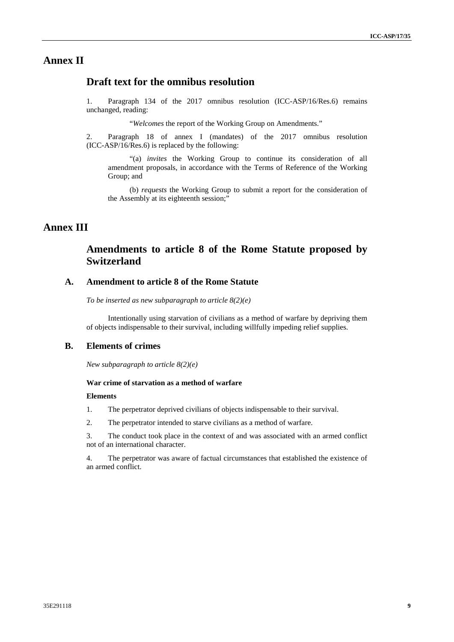## **Annex II**

## **Draft text for the omnibus resolution**

1. Paragraph 134 of the 2017 omnibus resolution (ICC-ASP/16/Res.6) remains unchanged, reading:

"*Welcomes* the report of the Working Group on Amendments."

2. Paragraph 18 of annex I (mandates) of the 2017 omnibus resolution (ICC-ASP/16/Res.6) is replaced by the following:

"(a) *invites* the Working Group to continue its consideration of all amendment proposals, in accordance with the Terms of Reference of the Working Group; and

(b) *requests* the Working Group to submit a report for the consideration of the Assembly at its eighteenth session;"

## **Annex III**

## **Amendments to article 8 of the Rome Statute proposed by Switzerland**

## **A. Amendment to article 8 of the Rome Statute**

*To be inserted as new subparagraph to article 8(2)(e)*

Intentionally using starvation of civilians as a method of warfare by depriving them of objects indispensable to their survival, including willfully impeding relief supplies.

## **B. Elements of crimes**

*New subparagraph to article 8(2)(e)*

#### **War crime of starvation as a method of warfare**

#### **Elements**

1. The perpetrator deprived civilians of objects indispensable to their survival.

2. The perpetrator intended to starve civilians as a method of warfare.

3. The conduct took place in the context of and was associated with an armed conflict not of an international character.

4. The perpetrator was aware of factual circumstances that established the existence of an armed conflict.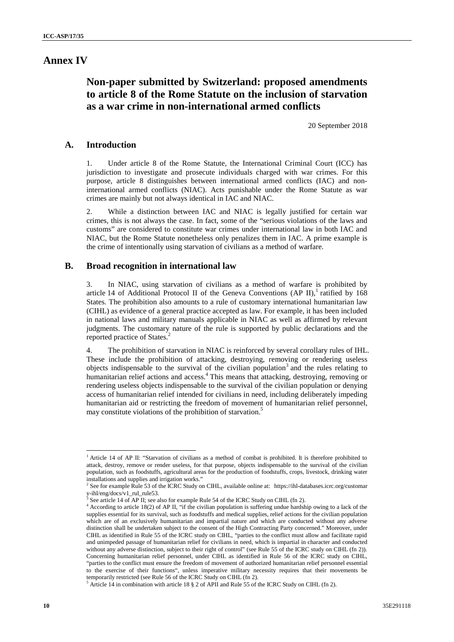## **Annex IV**

# **Non-paper submitted by Switzerland: proposed amendments to article 8 of the Rome Statute on the inclusion of starvation as a war crime in non-international armed conflicts**

20 September 2018

### **A. Introduction**

1. Under article 8 of the Rome Statute, the International Criminal Court (ICC) has jurisdiction to investigate and prosecute individuals charged with war crimes. For this purpose, article 8 distinguishes between international armed conflicts (IAC) and noninternational armed conflicts (NIAC). Acts punishable under the Rome Statute as war crimes are mainly but not always identical in IAC and NIAC.

2. While a distinction between IAC and NIAC is legally justified for certain war crimes, this is not always the case. In fact, some of the "serious violations of the laws and customs" are considered to constitute war crimes under international law in both IAC and NIAC, but the Rome Statute nonetheless only penalizes them in IAC. A prime example is the crime of intentionally using starvation of civilians as a method of warfare.

### **B. Broad recognition in international law**

3. In NIAC, using starvation of civilians as a method of warfare is prohibited by article 14 of Additional Protocol II of the Geneva Conventions (AP II), ratified by 168 States. The prohibition also amounts to a rule of customary international humanitarian law (CIHL) as evidence of a general practice accepted as law. For example, it has been included in national laws and military manuals applicable in NIAC as well as affirmed by relevant judgments. The customary nature of the rule is supported by public declarations and the reported practice of States.<sup>2</sup>

4. The prohibition of starvation in NIAC is reinforced by several corollary rules of IHL. These include the prohibition of attacking, destroying, removing or rendering useless objects indispensable to the survival of the civilian population<sup>3</sup> and the rules relating to humanitarian relief actions and access.<sup>4</sup> This means that attacking, destroying, removing or rendering useless objects indispensable to the survival of the civilian population or denying access of humanitarian relief intended for civilians in need, including deliberately impeding humanitarian aid or restricting the freedom of movement of humanitarian relief personnel, may constitute violations of the prohibition of starvation.<sup>5</sup>

<sup>&</sup>lt;sup>1</sup> Article 14 of AP II: "Starvation of civilians as a method of combat is prohibited. It is therefore prohibited to attack, destroy, remove or render useless, for that purpose, objects indispensable to the survival of the civilian population, such as foodstuffs, agricultural areas for the production of foodstuffs, crops, livestock, drinking water installations and supplies and irrigation works."

<sup>&</sup>lt;sup>2</sup> See for example Rule 53 of the ICRC Study on CIHL, available online at: https://ihl-databases.icrc.org/customar y-ihl/eng/docs/v1\_rul\_rule53.<br><sup>3</sup> See article 14 of AP II: see also for the study of the study of the stu

See article 14 of AP II; see also for example Rule 54 of the ICRC Study on CIHL (fn 2).

<sup>&</sup>lt;sup>4</sup> According to article 18(2) of AP II, "if the civilian population is suffering undue hardship owing to a lack of the supplies essential for its survival, such as foodstuffs and medical supplies, relief actions for the civilian population which are of an exclusively humanitarian and impartial nature and which are conducted without any adverse distinction shall be undertaken subject to the consent of the High Contracting Party concerned." Moreover, under CIHL as identified in Rule 55 of the ICRC study on CIHL, "parties to the conflict must allow and facilitate rapid and unimpeded passage of humanitarian relief for civilians in need, which is impartial in character and conducted without any adverse distinction, subject to their right of control" (see Rule 55 of the ICRC study on CIHL (fn 2)). Concerning humanitarian relief personnel, under CIHL as identified in Rule 56 of the ICRC study on CIHL, "parties to the conflict must ensure the freedom of movement of authorized humanitarian relief personnel essential to the exercise of their functions", unless imperative military necessity requires that their movements be temporarily restricted (see Rule 56 of the ICRC Study on CIHL (fn 2).<br><sup>5</sup> Article 14 in combination with article 18 § 2 of APII and Rule 55 of the ICRC Study on CIHL (fn 2).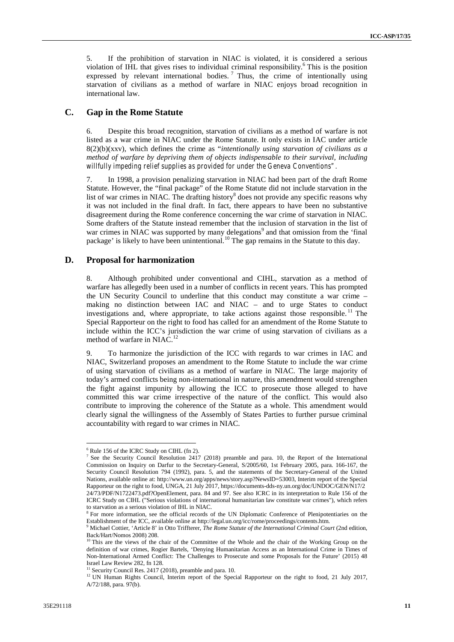5. If the prohibition of starvation in NIAC is violated, it is considered a serious violation of IHL that gives rises to individual criminal responsibility.<sup>6</sup> This is the position expressed by relevant international bodies.<sup>7</sup> Thus, the crime of intentionally using starvation of civilians as a method of warfare in NIAC enjoys broad recognition in international law.

### **C. Gap in the Rome Statute**

6. Despite this broad recognition, starvation of civilians as a method of warfare is not listed as a war crime in NIAC under the Rome Statute. It only exists in IAC under article 8(2)(b)(xxv), which defines the crime as "*intentionally using starvation of civilians as a method of warfare by depriving them of objects indispensable to their survival, including willfully impeding relief supplies as provided for under the Geneva Conventions".*

7. In 1998, a provision penalizing starvation in NIAC had been part of the draft Rome Statute. However, the "final package" of the Rome Statute did not include starvation in the list of war crimes in NIAC. The drafting history $\delta$  does not provide any specific reasons why it was not included in the final draft. In fact, there appears to have been no substantive disagreement during the Rome conference concerning the war crime of starvation in NIAC. Some drafters of the Statute instead remember that the inclusion of starvation in the list of war crimes in NIAC was supported by many delegations<sup>9</sup> and that omission from the 'final package' is likely to have been unintentional.<sup>10</sup> The gap remains in the Statute to this day.

### **D. Proposal for harmonization**

8. Although prohibited under conventional and CIHL, starvation as a method of warfare has allegedly been used in a number of conflicts in recent years. This has prompted the UN Security Council to underline that this conduct may constitute a war crime – making no distinction between IAC and NIAC – and to urge States to conduct investigations and, where appropriate, to take actions against those responsible.<sup>11</sup> The Special Rapporteur on the right to food has called for an amendment of the Rome Statute to include within the ICC's jurisdiction the war crime of using starvation of civilians as a method of warfare in NIAC.<sup>12</sup>

9. To harmonize the jurisdiction of the ICC with regards to war crimes in IAC and NIAC, Switzerland proposes an amendment to the Rome Statute to include the war crime of using starvation of civilians as a method of warfare in NIAC. The large majority of today's armed conflicts being non-international in nature, this amendment would strengthen the fight against impunity by allowing the ICC to prosecute those alleged to have committed this war crime irrespective of the nature of the conflict. This would also contribute to improving the coherence of the Statute as a whole. This amendment would clearly signal the willingness of the Assembly of States Parties to further pursue criminal accountability with regard to war crimes in NIAC.

<sup>&</sup>lt;sup>6</sup> Rule 156 of the ICRC Study on CIHL (fn 2).<br><sup>7</sup> See the Security Council Resolution 2417 (2018) preamble and para. 10, the Report of the International Commission on Inquiry on Darfur to the Secretary-General, S/2005/60, 1st February 2005, para. 166-167, the Security Council Resolution 794 (1992), para. 5, and the statements of the Secretary-General of the United Nations, available online at: http://www.un.org/apps/news/story.asp?NewsID=53003, Interim report of the Special Rapporteur on the right to food, UNGA, 21 July 2017, https://documents-dds-ny.un.org/doc/UNDOC/GEN/N17/2 24/73/PDF/N1722473.pdf?OpenElement, para. 84 and 97. See also ICRC in its interpretation to Rule 156 of the ICRC Study on CIHL ("Serious violations of international humanitarian law constitute war crimes"), which refers to starvation as a serious violation of IHL in NIAC.

 $8$  For more information, see the official records of the UN Diplomatic Conference of Plenipotentiaries on the Establishment of the ICC, available online at http://legal.un.org/icc/rome/proceedings/contents.htm.

<sup>9</sup> Michael Cottier, 'Article 8' in Otto Triffterer, *The Rome Statute of the International Criminal Court* (2nd edition,

This are the views of the chair of the Committee of the Whole and the chair of the Working Group on the definition of war crimes, Rogier Bartels, 'Denying Humanitarian Access as an International Crime in Times of Non-International Armed Conflict: The Challenges to Prosecute and some Proposals for the Future' (2015) 48 Israel Law Review 282, fn 128.

<sup>&</sup>lt;sup>11</sup> Security Council Res. 2417 (2018), preamble and para. 10.

<sup>&</sup>lt;sup>12</sup> UN Human Rights Council, Interim report of the Special Rapporteur on the right to food, 21 July 2017, A/72/188, para. 97(b).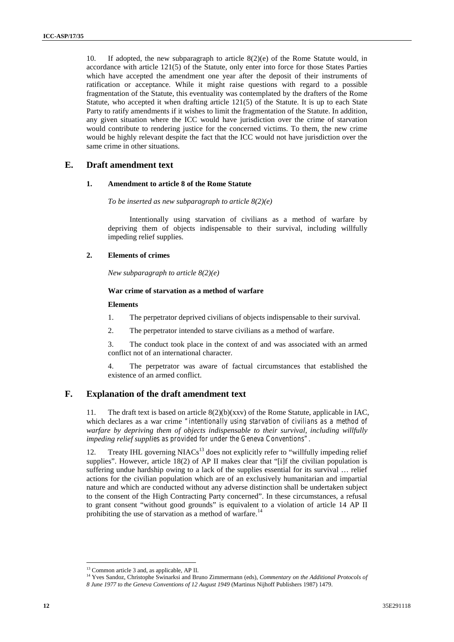10. If adopted, the new subparagraph to article 8(2)(e) of the Rome Statute would, in accordance with article 121(5) of the Statute, only enter into force for those States Parties which have accepted the amendment one year after the deposit of their instruments of ratification or acceptance. While it might raise questions with regard to a possible fragmentation of the Statute, this eventuality was contemplated by the drafters of the Rome Statute, who accepted it when drafting article 121(5) of the Statute. It is up to each State Party to ratify amendments if it wishes to limit the fragmentation of the Statute. In addition, any given situation where the ICC would have jurisdiction over the crime of starvation would contribute to rendering justice for the concerned victims. To them, the new crime would be highly relevant despite the fact that the ICC would not have jurisdiction over the same crime in other situations.

### **E. Draft amendment text**

#### **1. Amendment to article 8 of the Rome Statute**

*To be inserted as new subparagraph to article 8(2)(e)*

Intentionally using starvation of civilians as a method of warfare by depriving them of objects indispensable to their survival, including willfully impeding relief supplies.

### **2. Elements of crimes**

*New subparagraph to article 8(2)(e)*

#### **War crime of starvation as a method of warfare**

#### **Elements**

- 1. The perpetrator deprived civilians of objects indispensable to their survival.
- 2. The perpetrator intended to starve civilians as a method of warfare.
- 3. The conduct took place in the context of and was associated with an armed conflict not of an international character.

4. The perpetrator was aware of factual circumstances that established the existence of an armed conflict.

### **F. Explanation of the draft amendment text**

11. The draft text is based on article 8(2)(b)(xxv) of the Rome Statute, applicable in IAC, which declares as a war crime *"intentionally using starvation of civilians as a method of warfare by depriving them of objects indispensable to their survival, including willfully impeding relief supplies as provided for under the Geneva Conventions"*.

12. Treaty IHL governing  $NIACs<sup>13</sup>$  does not explicitly refer to "willfully impeding relief supplies". However, article 18(2) of AP II makes clear that "[i]f the civilian population is suffering undue hardship owing to a lack of the supplies essential for its survival … relief actions for the civilian population which are of an exclusively humanitarian and impartial nature and which are conducted without any adverse distinction shall be undertaken subject to the consent of the High Contracting Party concerned". In these circumstances, a refusal to grant consent "without good grounds" is equivalent to a violation of article 14 AP II prohibiting the use of starvation as a method of warfare.<sup>14</sup>

<sup>13</sup> Common article 3 and, as applicable, AP II.

<sup>14</sup> Yves Sandoz, Christophe Swinarksi and Bruno Zimmermann (eds), *Commentary on the Additional Protocols of*

*<sup>8</sup> June 1977 to the Geneva Conventions of 12 August 1949* (Martinus Nijhoff Publishers 1987) 1479.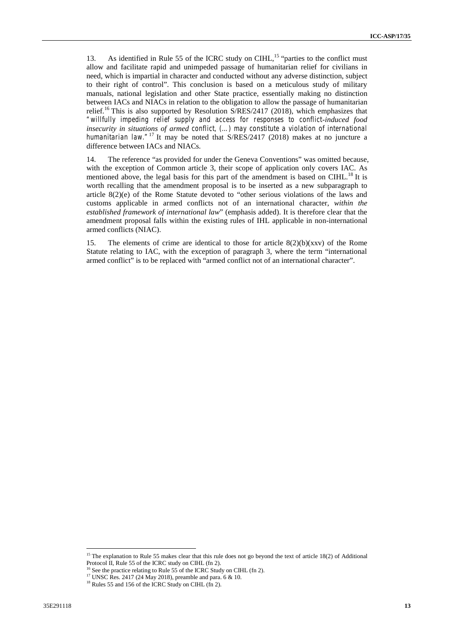13. As identified in Rule 55 of the ICRC study on CIHL,<sup>15</sup> "parties to the conflict must allow and facilitate rapid and unimpeded passage of humanitarian relief for civilians in need, which is impartial in character and conducted without any adverse distinction, subject to their right of control". This conclusion is based on a meticulous study of military manuals, national legislation and other State practice, essentially making no distinction between IACs and NIACs in relation to the obligation to allow the passage of humanitarian relief.<sup>16</sup> This is also supported by Resolution S/RES/2417 (2018), which emphasizes that *"willfully impeding relief supply and access for responses to conflict-induced food insecurity in situations of armed conflict, (…) may constitute a violation of international humanitarian law.*<sup>"17</sup> It may be noted that S/RES/2417 (2018) makes at no juncture a difference between IACs and NIACs.

14. The reference "as provided for under the Geneva Conventions" was omitted because, with the exception of Common article 3, their scope of application only covers IAC. As mentioned above, the legal basis for this part of the amendment is based on CIHL.<sup>18</sup> It is worth recalling that the amendment proposal is to be inserted as a new subparagraph to article 8(2)(e) of the Rome Statute devoted to "other serious violations of the laws and customs applicable in armed conflicts not of an international character, *within the established framework of international law*" (emphasis added). It is therefore clear that the amendment proposal falls within the existing rules of IHL applicable in non-international armed conflicts (NIAC).

15. The elements of crime are identical to those for article  $8(2)(b)(xxv)$  of the Rome Statute relating to IAC, with the exception of paragraph 3, where the term "international armed conflict" is to be replaced with "armed conflict not of an international character".

<sup>&</sup>lt;sup>15</sup> The explanation to Rule 55 makes clear that this rule does not go beyond the text of article 18(2) of Additional Protocol II, Rule 55 of the ICRC study on CIHL (fn 2).

<sup>&</sup>lt;sup>16</sup> See the practice relating to Rule 55 of the ICRC Study on CIHL (fn 2).

<sup>&</sup>lt;sup>17</sup> UNSC Res. 2417 (24 May 2018), preamble and para. 6 & 10. <sup>18</sup> Rules 55 and 156 of the ICRC Study on CIHL (fn 2).